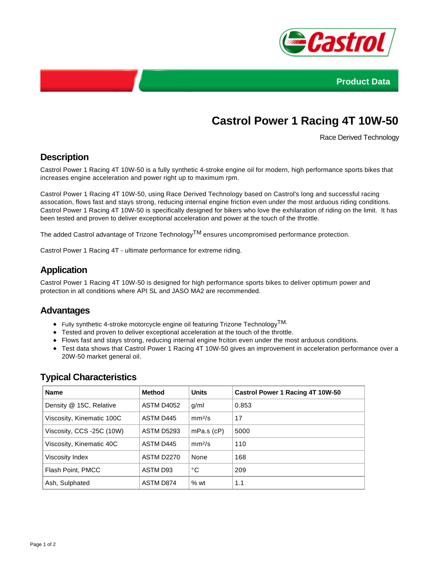



# **Castrol Power 1 Racing 4T 10W-50**

Race Derived Technology

# **Description**

Castrol Power 1 Racing 4T 10W-50 is a fully synthetic 4-stroke engine oil for modern, high performance sports bikes that increases engine acceleration and power right up to maximum rpm.

Castrol Power 1 Racing 4T 10W-50, using Race Derived Technology based on Castrol's long and successful racing assocation, flows fast and stays strong, reducing internal engine friction even under the most arduous riding conditions. Castrol Power 1 Racing 4T 10W-50 is specifically designed for bikers who love the exhilaration of riding on the limit. It has been tested and proven to deliver exceptional acceleration and power at the touch of the throttle.

The added Castrol advantage of Trizone Technology<sup>TM</sup> ensures uncompromised performance protection.

Castrol Power 1 Racing 4T - ultimate performance for extreme riding.

## **Application**

Castrol Power 1 Racing 4T 10W-50 is designed for high performance sports bikes to deliver optimum power and protection in all conditions where API SL and JASO MA2 are recommended.

#### **Advantages**

- Fully synthetic 4-stroke motorcycle engine oil featuring Trizone Technology<sup>TM.</sup>
- Tested and proven to deliver exceptional acceleration at the touch of the throttle.
- Flows fast and stays strong, reducing internal engine frciton even under the most arduous conditions.
- Test data shows that Castrol Power 1 Racing 4T 10W-50 gives an improvement in acceleration performance over a 20W-50 market general oil.

| <b>Name</b>               | <b>Method</b>     | <b>Units</b>       | Castrol Power 1 Racing 4T 10W-50 |
|---------------------------|-------------------|--------------------|----------------------------------|
| Density @ 15C, Relative   | ASTM D4052        | g/ml               | 0.853                            |
| Viscosity, Kinematic 100C | ASTM D445         | mm <sup>2</sup> /s | 17                               |
| Viscosity, CCS -25C (10W) | <b>ASTM D5293</b> | $mPa.s$ ( $cP$ )   | 5000                             |
| Viscosity, Kinematic 40C  | ASTM D445         | mm <sup>2</sup> /s | 110                              |
| Viscosity Index           | <b>ASTM D2270</b> | None               | 168                              |
| Flash Point, PMCC         | ASTM D93          | °C                 | 209                              |
| Ash, Sulphated            | ASTM D874         | %wt                | 1.1                              |

## **Typical Characteristics**